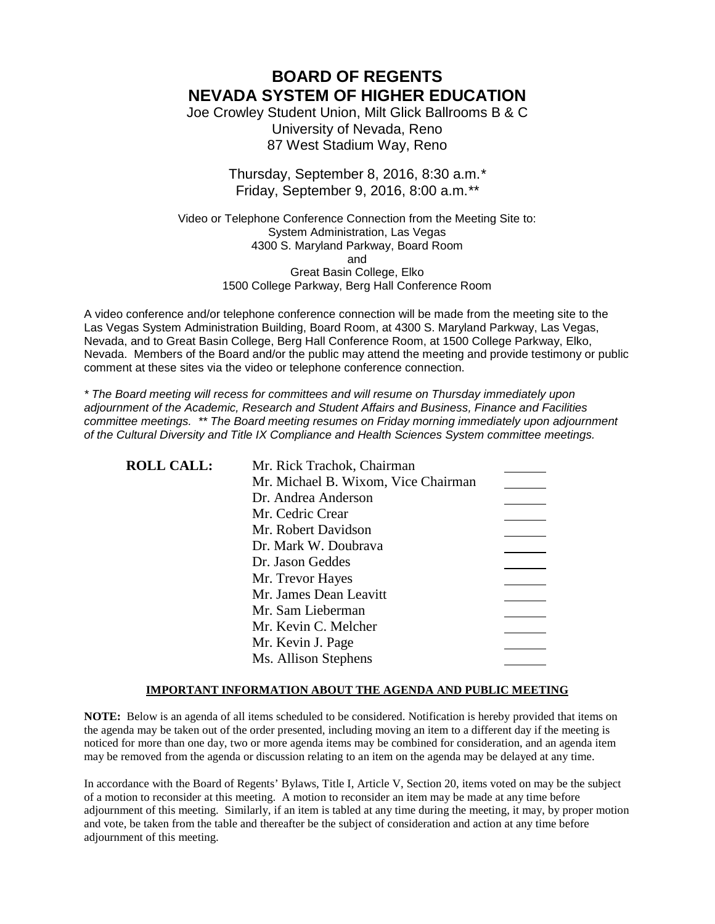**BOARD OF REGENTS NEVADA SYSTEM OF HIGHER EDUCATION**

Joe Crowley Student Union, Milt Glick Ballrooms B & C University of Nevada, Reno 87 West Stadium Way, Reno

> Thursday, September 8, 2016, 8:30 a.m.*\** Friday, September 9, 2016, 8:00 a.m.*\*\**

Video or Telephone Conference Connection from the Meeting Site to: System Administration, Las Vegas 4300 S. Maryland Parkway, Board Room and Great Basin College, Elko 1500 College Parkway, Berg Hall Conference Room

A video conference and/or telephone conference connection will be made from the meeting site to the Las Vegas System Administration Building, Board Room, at 4300 S. Maryland Parkway, Las Vegas, Nevada, and to Great Basin College, Berg Hall Conference Room, at 1500 College Parkway, Elko, Nevada. Members of the Board and/or the public may attend the meeting and provide testimony or public comment at these sites via the video or telephone conference connection.

*\* The Board meeting will recess for committees and will resume on Thursday immediately upon adjournment of the Academic, Research and Student Affairs and Business, Finance and Facilities committee meetings. \*\* The Board meeting resumes on Friday morning immediately upon adjournment of the Cultural Diversity and Title IX Compliance and Health Sciences System committee meetings.*

| <b>ROLL CALL:</b> | Mr. Rick Trachok, Chairman          |  |
|-------------------|-------------------------------------|--|
|                   | Mr. Michael B. Wixom, Vice Chairman |  |
|                   | Dr. Andrea Anderson                 |  |
|                   | Mr. Cedric Crear                    |  |
|                   | Mr. Robert Davidson                 |  |
|                   | Dr. Mark W. Doubrava                |  |
|                   | Dr. Jason Geddes                    |  |
|                   | Mr. Trevor Hayes                    |  |
|                   | Mr. James Dean Leavitt              |  |
|                   | Mr. Sam Lieberman                   |  |
|                   | Mr. Kevin C. Melcher                |  |
|                   | Mr. Kevin J. Page                   |  |
|                   | Ms. Allison Stephens                |  |

### **IMPORTANT INFORMATION ABOUT THE AGENDA AND PUBLIC MEETING**

**NOTE:** Below is an agenda of all items scheduled to be considered. Notification is hereby provided that items on the agenda may be taken out of the order presented, including moving an item to a different day if the meeting is noticed for more than one day, two or more agenda items may be combined for consideration, and an agenda item may be removed from the agenda or discussion relating to an item on the agenda may be delayed at any time.

In accordance with the Board of Regents' Bylaws, Title I, Article V, Section 20, items voted on may be the subject of a motion to reconsider at this meeting. A motion to reconsider an item may be made at any time before adjournment of this meeting. Similarly, if an item is tabled at any time during the meeting, it may, by proper motion and vote, be taken from the table and thereafter be the subject of consideration and action at any time before adjournment of this meeting.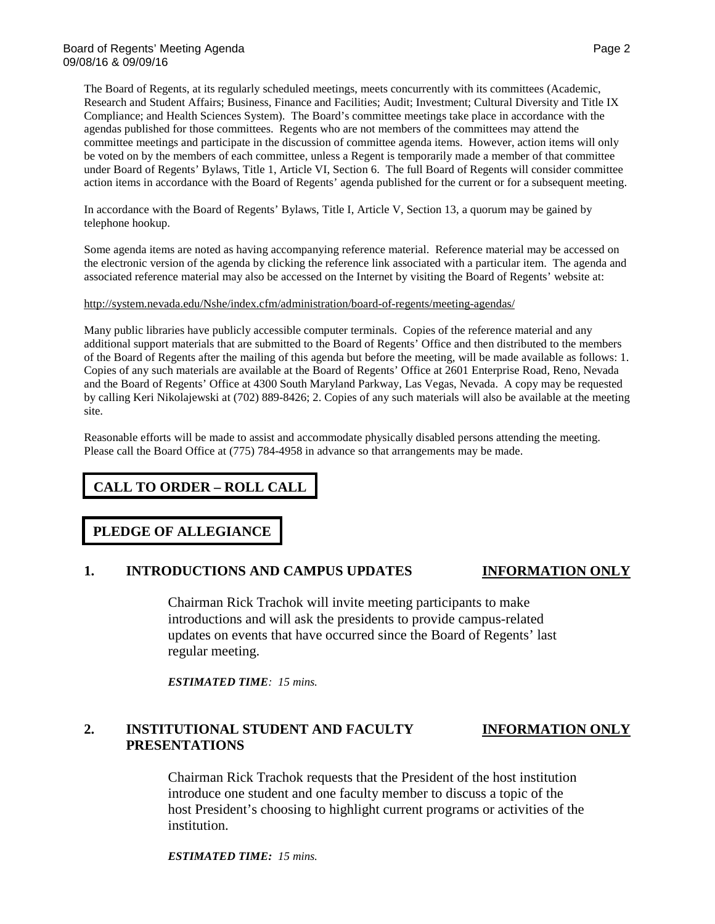The Board of Regents, at its regularly scheduled meetings, meets concurrently with its committees (Academic, Research and Student Affairs; Business, Finance and Facilities; Audit; Investment; Cultural Diversity and Title IX Compliance; and Health Sciences System). The Board's committee meetings take place in accordance with the agendas published for those committees. Regents who are not members of the committees may attend the committee meetings and participate in the discussion of committee agenda items. However, action items will only be voted on by the members of each committee, unless a Regent is temporarily made a member of that committee under Board of Regents' Bylaws, Title 1, Article VI, Section 6. The full Board of Regents will consider committee action items in accordance with the Board of Regents' agenda published for the current or for a subsequent meeting.

In accordance with the Board of Regents' Bylaws, Title I, Article V, Section 13, a quorum may be gained by telephone hookup.

Some agenda items are noted as having accompanying reference material. Reference material may be accessed on the electronic version of the agenda by clicking the reference link associated with a particular item. The agenda and associated reference material may also be accessed on the Internet by visiting the Board of Regents' website at:

### <http://system.nevada.edu/Nshe/index.cfm/administration/board-of-regents/meeting-agendas/>

Many public libraries have publicly accessible computer terminals. Copies of the reference material and any additional support materials that are submitted to the Board of Regents' Office and then distributed to the members of the Board of Regents after the mailing of this agenda but before the meeting, will be made available as follows: 1. Copies of any such materials are available at the Board of Regents' Office at 2601 Enterprise Road, Reno, Nevada and the Board of Regents' Office at 4300 South Maryland Parkway, Las Vegas, Nevada. A copy may be requested by calling Keri Nikolajewski at (702) 889-8426; 2. Copies of any such materials will also be available at the meeting site.

Reasonable efforts will be made to assist and accommodate physically disabled persons attending the meeting. Please call the Board Office at (775) 784-4958 in advance so that arrangements may be made.

## **CALL TO ORDER – ROLL CALL**

### **PLEDGE OF ALLEGIANCE**

### **1. INTRODUCTIONS AND CAMPUS UPDATES INFORMATION ONLY**

Chairman Rick Trachok will invite meeting participants to make introductions and will ask the presidents to provide campus-related updates on events that have occurred since the Board of Regents' last regular meeting.

*ESTIMATED TIME: 15 mins.*

## **2. INSTITUTIONAL STUDENT AND FACULTY INFORMATION ONLY PRESENTATIONS**

Chairman Rick Trachok requests that the President of the host institution introduce one student and one faculty member to discuss a topic of the host President's choosing to highlight current programs or activities of the institution.

*ESTIMATED TIME: 15 mins.*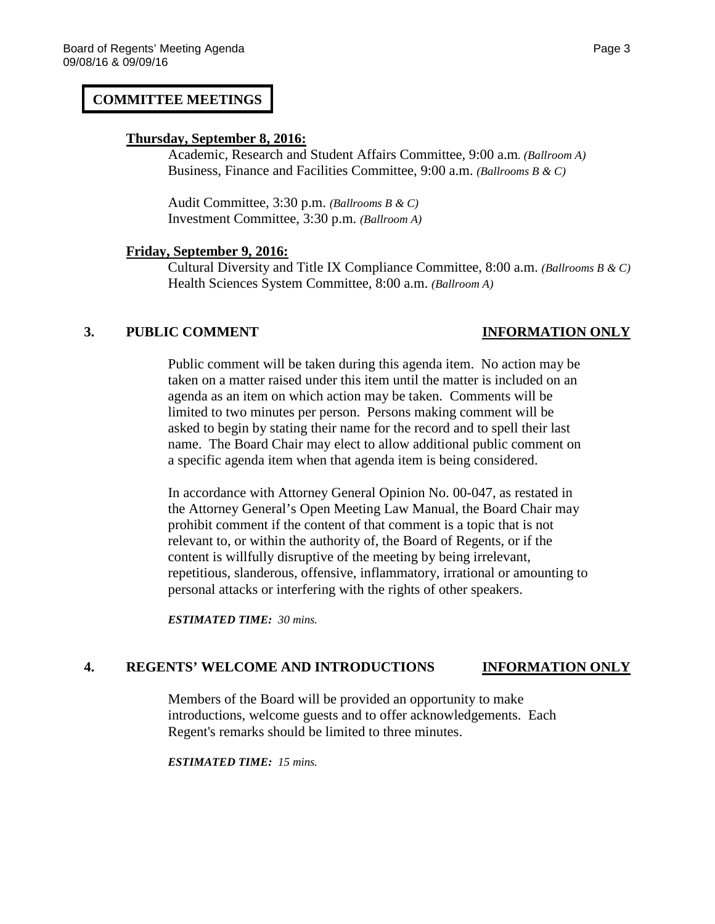## **COMMITTEE MEETINGS**

### **Thursday, September 8, 2016:**

Academic, Research and Student Affairs Committee, 9:00 a.m*. (Ballroom A)* Business, Finance and Facilities Committee, 9:00 a.m. *(Ballrooms B & C)*

Audit Committee, 3:30 p.m. *(Ballrooms B & C)* Investment Committee, 3:30 p.m. *(Ballroom A)*

### **Friday, September 9, 2016:**

Cultural Diversity and Title IX Compliance Committee, 8:00 a.m. *(Ballrooms B & C)* Health Sciences System Committee, 8:00 a.m. *(Ballroom A)*

### **3. PUBLIC COMMENT INFORMATION ONLY**

Public comment will be taken during this agenda item. No action may be taken on a matter raised under this item until the matter is included on an agenda as an item on which action may be taken. Comments will be limited to two minutes per person. Persons making comment will be asked to begin by stating their name for the record and to spell their last name. The Board Chair may elect to allow additional public comment on a specific agenda item when that agenda item is being considered.

In accordance with Attorney General Opinion No. 00-047, as restated in the Attorney General's Open Meeting Law Manual, the Board Chair may prohibit comment if the content of that comment is a topic that is not relevant to, or within the authority of, the Board of Regents, or if the content is willfully disruptive of the meeting by being irrelevant, repetitious, slanderous, offensive, inflammatory, irrational or amounting to personal attacks or interfering with the rights of other speakers.

*ESTIMATED TIME: 30 mins.*

## **4. REGENTS' WELCOME AND INTRODUCTIONS INFORMATION ONLY**

Members of the Board will be provided an opportunity to make introductions, welcome guests and to offer acknowledgements. Each Regent's remarks should be limited to three minutes.

*ESTIMATED TIME: 15 mins.*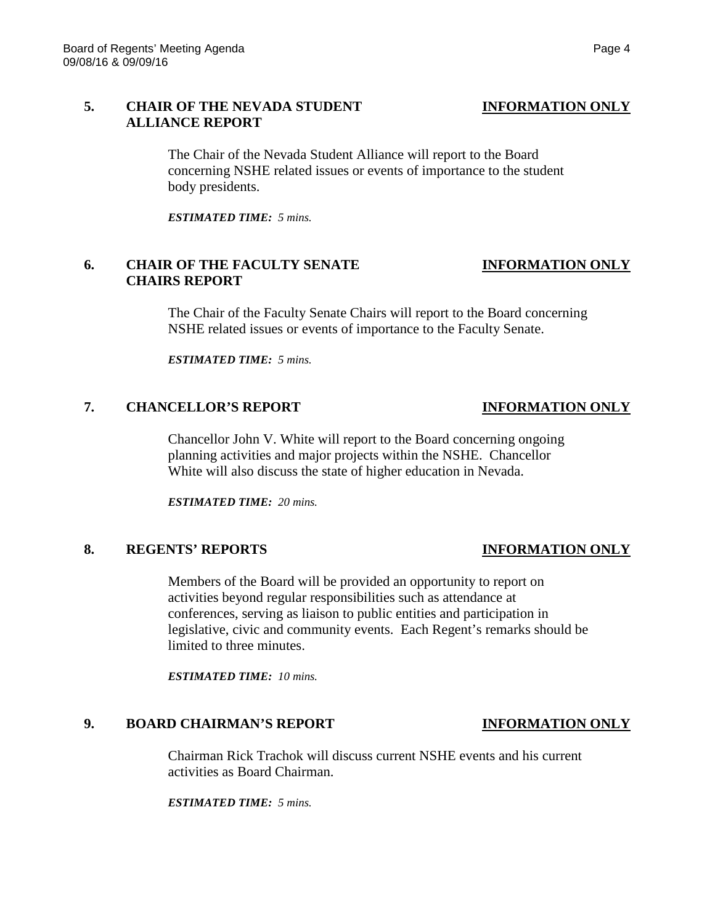## **5. CHAIR OF THE NEVADA STUDENT INFORMATION ONLY ALLIANCE REPORT**

The Chair of the Nevada Student Alliance will report to the Board concerning NSHE related issues or events of importance to the student body presidents.

*ESTIMATED TIME: 5 mins.*

## **6. CHAIR OF THE FACULTY SENATE INFORMATION ONLY CHAIRS REPORT**

The Chair of the Faculty Senate Chairs will report to the Board concerning NSHE related issues or events of importance to the Faculty Senate.

*ESTIMATED TIME: 5 mins.*

## **7. CHANCELLOR'S REPORT INFORMATION ONLY**

Chancellor John V. White will report to the Board concerning ongoing planning activities and major projects within the NSHE. Chancellor White will also discuss the state of higher education in Nevada.

*ESTIMATED TIME: 20 mins.*

## **8. REGENTS' REPORTS INFORMATION ONLY**

Members of the Board will be provided an opportunity to report on activities beyond regular responsibilities such as attendance at conferences, serving as liaison to public entities and participation in legislative, civic and community events. Each Regent's remarks should be limited to three minutes.

*ESTIMATED TIME: 10 mins.*

## **9. BOARD CHAIRMAN'S REPORT INFORMATION ONLY**

Chairman Rick Trachok will discuss current NSHE events and his current activities as Board Chairman.

*ESTIMATED TIME: 5 mins.*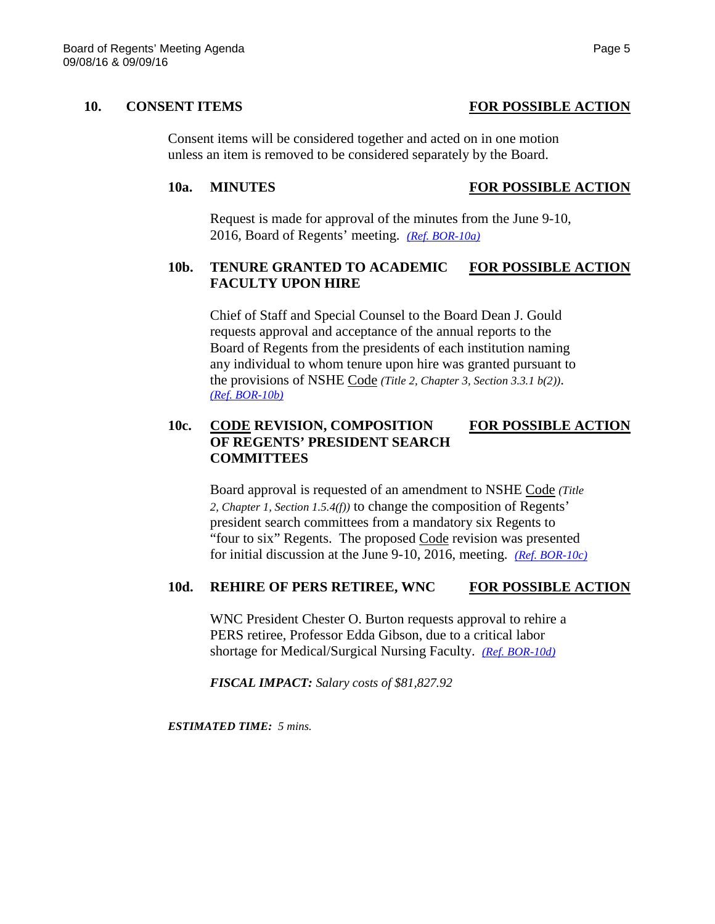**10. CONSENT ITEMS FOR POSSIBLE ACTION**

Consent items will be considered together and acted on in one motion unless an item is removed to be considered separately by the Board.

## **10a. MINUTES FOR POSSIBLE ACTION**

Request is made for approval of the minutes from the June 9-10, 2016, Board of Regents' meeting. *[\(Ref. BOR-10a\)](http://system.nevada.edu/tasks/sites/Nshe/assets/File/BoardOfRegents/Agendas/2016/sept-mtgs/bor-refs/BOR-10a.pdf)*

## **10b. TENURE GRANTED TO ACADEMIC FOR POSSIBLE ACTION FACULTY UPON HIRE**

Chief of Staff and Special Counsel to the Board Dean J. Gould requests approval and acceptance of the annual reports to the Board of Regents from the presidents of each institution naming any individual to whom tenure upon hire was granted pursuant to the provisions of NSHE Code *(Title 2, Chapter 3, Section 3.3.1 b(2))*. *[\(Ref. BOR-10b\)](http://system.nevada.edu/tasks/sites/Nshe/assets/File/BoardOfRegents/Agendas/2016/sept-mtgs/bor-refs/BOR-10b.pdf)*

## **10c. CODE REVISION, COMPOSITION FOR POSSIBLE ACTION OF REGENTS' PRESIDENT SEARCH COMMITTEES**

Board approval is requested of an amendment to NSHE Code *(Title 2, Chapter 1, Section 1.5.4(f))* to change the composition of Regents' president search committees from a mandatory six Regents to "four to six" Regents. The proposed Code revision was presented for initial discussion at the June 9-10, 2016, meeting. *[\(Ref. BOR-10c\)](http://system.nevada.edu/tasks/sites/Nshe/assets/File/BoardOfRegents/Agendas/2016/sept-mtgs/bor-refs/BOR-10c.pdf)*

## **10d. REHIRE OF PERS RETIREE, WNC FOR POSSIBLE ACTION**

WNC President Chester O. Burton requests approval to rehire a PERS retiree, Professor Edda Gibson, due to a critical labor shortage for Medical/Surgical Nursing Faculty. *[\(Ref. BOR-10d\)](http://system.nevada.edu/tasks/sites/Nshe/assets/File/BoardOfRegents/Agendas/2016/sept-mtgs/bor-refs/BOR-10d.pdf)*

*FISCAL IMPACT: Salary costs of \$81,827.92*

*ESTIMATED TIME: 5 mins.*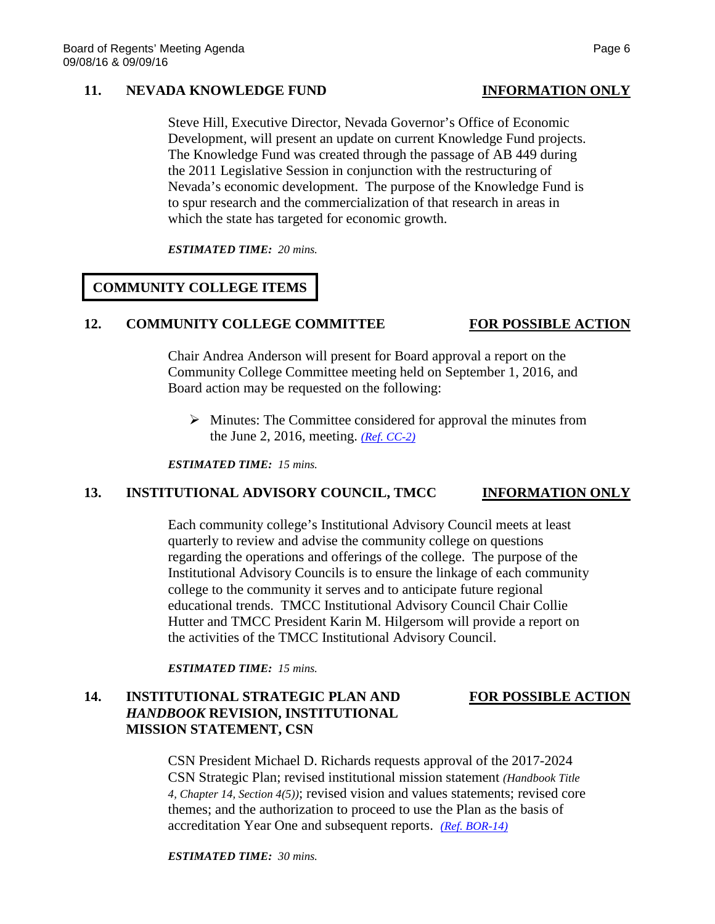### **11. NEVADA KNOWLEDGE FUND INFORMATION ONLY**

Steve Hill, Executive Director, Nevada Governor's Office of Economic Development, will present an update on current Knowledge Fund projects. The Knowledge Fund was created through the passage of AB 449 during the 2011 Legislative Session in conjunction with the restructuring of Nevada's economic development. The purpose of the Knowledge Fund is to spur research and the commercialization of that research in areas in which the state has targeted for economic growth.

*ESTIMATED TIME: 20 mins.*

# **COMMUNITY COLLEGE ITEMS**

## 12. **COMMUNITY COLLEGE COMMITTEE** FOR POSSIBLE ACTION

Chair Andrea Anderson will present for Board approval a report on the Community College Committee meeting held on September 1, 2016, and Board action may be requested on the following:

 $\triangleright$  Minutes: The Committee considered for approval the minutes from the June 2, 2016, meeting. *[\(Ref. CC-2\)](http://system.nevada.edu/tasks/sites/Nshe/assets/File/BoardOfRegents/Agendas/2016/sept-mtgs/cc-refs/CC-2.pdf)*

*ESTIMATED TIME: 15 mins.*

## **13. INSTITUTIONAL ADVISORY COUNCIL, TMCC INFORMATION ONLY**

Each community college's Institutional Advisory Council meets at least quarterly to review and advise the community college on questions regarding the operations and offerings of the college. The purpose of the Institutional Advisory Councils is to ensure the linkage of each community college to the community it serves and to anticipate future regional educational trends. TMCC Institutional Advisory Council Chair Collie Hutter and TMCC President Karin M. Hilgersom will provide a report on the activities of the TMCC Institutional Advisory Council.

*ESTIMATED TIME: 15 mins.*

## 14. **INSTITUTIONAL STRATEGIC PLAN AND FOR POSSIBLE ACTION** *HANDBOOK* **REVISION, INSTITUTIONAL MISSION STATEMENT, CSN**

CSN President Michael D. Richards requests approval of the 2017-2024 CSN Strategic Plan; revised institutional mission statement *(Handbook Title 4, Chapter 14, Section 4(5))*; revised vision and values statements; revised core themes; and the authorization to proceed to use the Plan as the basis of accreditation Year One and subsequent reports. *[\(Ref. BOR-14\)](http://system.nevada.edu/tasks/sites/Nshe/assets/File/BoardOfRegents/Agendas/2016/sept-mtgs/bor-refs/BOR-14.pdf)*

*ESTIMATED TIME: 30 mins.*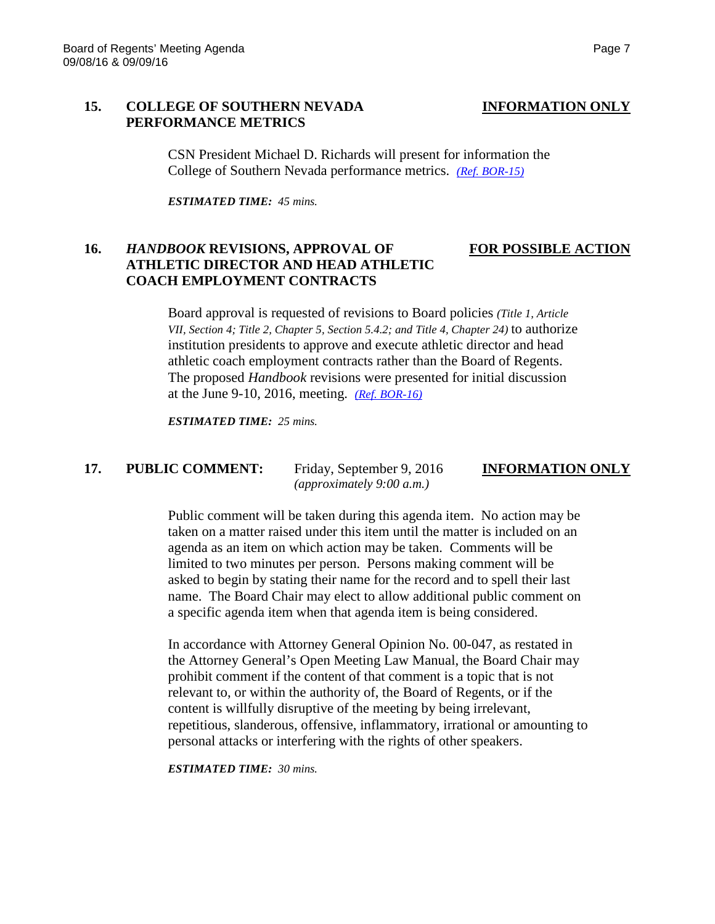### **15. COLLEGE OF SOUTHERN NEVADA INFORMATION ONLY PERFORMANCE METRICS**

CSN President Michael D. Richards will present for information the College of Southern Nevada performance metrics. *[\(Ref. BOR-15\)](http://system.nevada.edu/tasks/sites/Nshe/assets/File/BoardOfRegents/Agendas/2016/sept-mtgs/bor-refs/BOR-15.pdf)*

*ESTIMATED TIME: 45 mins.*

## **16.** *HANDBOOK* **REVISIONS, APPROVAL OF FOR POSSIBLE ACTION ATHLETIC DIRECTOR AND HEAD ATHLETIC COACH EMPLOYMENT CONTRACTS**

Board approval is requested of revisions to Board policies *(Title 1, Article VII, Section 4; Title 2, Chapter 5, Section 5.4.2; and Title 4, Chapter 24)* to authorize institution presidents to approve and execute athletic director and head athletic coach employment contracts rather than the Board of Regents. The proposed *Handbook* revisions were presented for initial discussion at the June 9-10, 2016, meeting. *[\(Ref. BOR-16\)](http://system.nevada.edu/tasks/sites/Nshe/assets/File/BoardOfRegents/Agendas/2016/sept-mtgs/bor-refs/BOR-16.pdf)*

*ESTIMATED TIME: 25 mins.*

# **17. PUBLIC COMMENT:** Friday, September 9, 2016 **INFORMATION ONLY**

*(approximately 9:00 a.m.)*

Public comment will be taken during this agenda item. No action may be taken on a matter raised under this item until the matter is included on an agenda as an item on which action may be taken. Comments will be limited to two minutes per person. Persons making comment will be asked to begin by stating their name for the record and to spell their last name. The Board Chair may elect to allow additional public comment on a specific agenda item when that agenda item is being considered.

In accordance with Attorney General Opinion No. 00-047, as restated in the Attorney General's Open Meeting Law Manual, the Board Chair may prohibit comment if the content of that comment is a topic that is not relevant to, or within the authority of, the Board of Regents, or if the content is willfully disruptive of the meeting by being irrelevant, repetitious, slanderous, offensive, inflammatory, irrational or amounting to personal attacks or interfering with the rights of other speakers.

*ESTIMATED TIME: 30 mins.*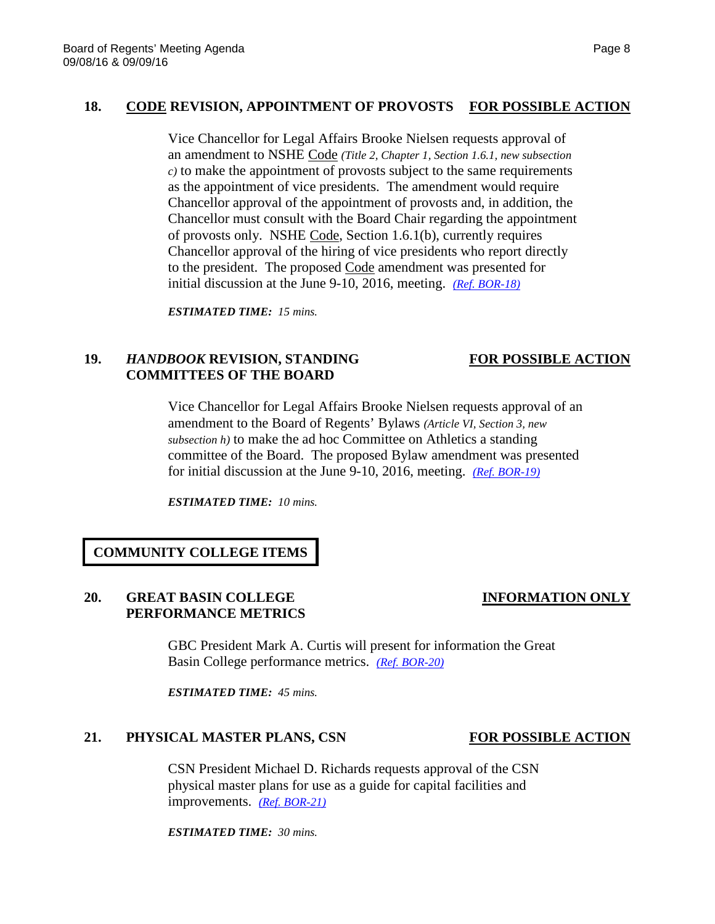## **18. CODE REVISION, APPOINTMENT OF PROVOSTS FOR POSSIBLE ACTION**

Vice Chancellor for Legal Affairs Brooke Nielsen requests approval of an amendment to NSHE Code *(Title 2, Chapter 1, Section 1.6.1, new subsection c)* to make the appointment of provosts subject to the same requirements as the appointment of vice presidents. The amendment would require Chancellor approval of the appointment of provosts and, in addition, the Chancellor must consult with the Board Chair regarding the appointment of provosts only. NSHE Code, Section 1.6.1(b), currently requires Chancellor approval of the hiring of vice presidents who report directly to the president. The proposed Code amendment was presented for initial discussion at the June 9-10, 2016, meeting. *[\(Ref. BOR-18\)](http://system.nevada.edu/tasks/sites/Nshe/assets/File/BoardOfRegents/Agendas/2016/sept-mtgs/bor-refs/BOR-18.pdf)*

*ESTIMATED TIME: 15 mins.*

## **19.** *HANDBOOK* **REVISION, STANDING FOR POSSIBLE ACTION COMMITTEES OF THE BOARD**

Vice Chancellor for Legal Affairs Brooke Nielsen requests approval of an amendment to the Board of Regents' Bylaws *(Article VI, Section 3, new subsection h)* to make the ad hoc Committee on Athletics a standing committee of the Board. The proposed Bylaw amendment was presented for initial discussion at the June 9-10, 2016, meeting. *[\(Ref. BOR-19\)](http://system.nevada.edu/tasks/sites/Nshe/assets/File/BoardOfRegents/Agendas/2016/sept-mtgs/bor-refs/BOR-19.pdf)*

*ESTIMATED TIME: 10 mins.*

## **COMMUNITY COLLEGE ITEMS**

## **20. GREAT BASIN COLLEGE INFORMATION ONLY PERFORMANCE METRICS**

GBC President Mark A. Curtis will present for information the Great Basin College performance metrics. *[\(Ref. BOR-20\)](http://system.nevada.edu/tasks/sites/Nshe/assets/File/BoardOfRegents/Agendas/2016/sept-mtgs/bor-refs/BOR-20.pdf)*

*ESTIMATED TIME: 45 mins.*

### 21. **PHYSICAL MASTER PLANS, CSN FOR POSSIBLE ACTION**

CSN President Michael D. Richards requests approval of the CSN physical master plans for use as a guide for capital facilities and improvements. *[\(Ref. BOR-21\)](http://system.nevada.edu/tasks/sites/Nshe/assets/File/BoardOfRegents/Agendas/2016/sept-mtgs/bor-refs/BOR-21.pdf)*

*ESTIMATED TIME: 30 mins.*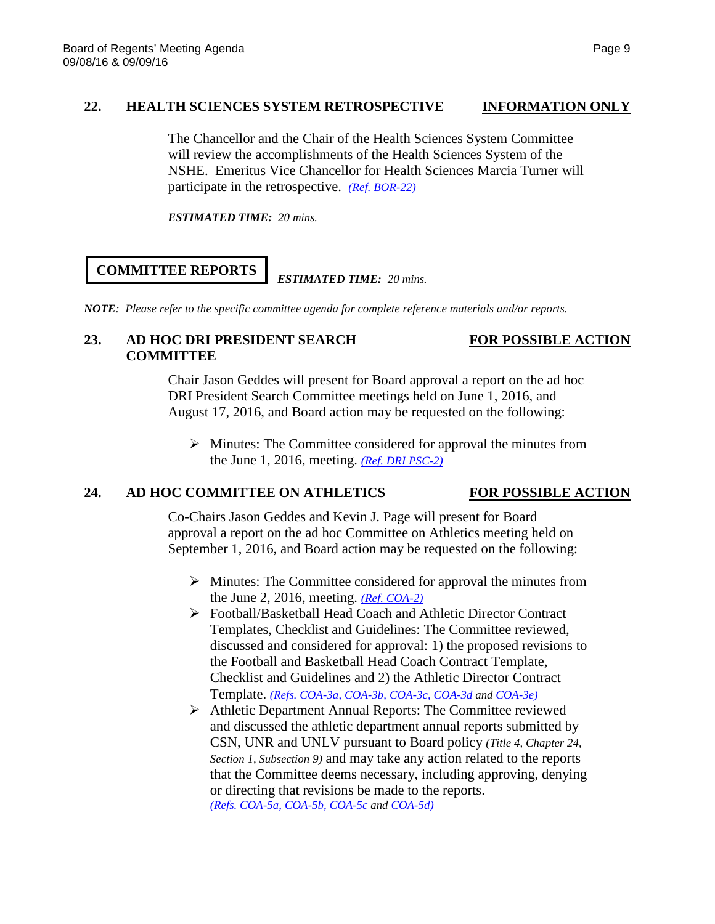## **22. HEALTH SCIENCES SYSTEM RETROSPECTIVE INFORMATION ONLY**

The Chancellor and the Chair of the Health Sciences System Committee will review the accomplishments of the Health Sciences System of the NSHE. Emeritus Vice Chancellor for Health Sciences Marcia Turner will participate in the retrospective. *[\(Ref. BOR-22\)](http://system.nevada.edu/tasks/sites/Nshe/assets/File/BoardOfRegents/Agendas/2016/sept-mtgs/bor-refs/BOR-22.pdf)*

*ESTIMATED TIME: 20 mins.*

# **COMMITTEE REPORTS**

## *ESTIMATED TIME: 20 mins.*

*NOTE: Please refer to the specific committee agenda for complete reference materials and/or reports.*

## 23. AD HOC DRI PRESIDENT SEARCH FOR POSSIBLE ACTION **COMMITTEE**

Chair Jason Geddes will present for Board approval a report on the ad hoc DRI President Search Committee meetings held on June 1, 2016, and August 17, 2016, and Board action may be requested on the following:

 $\triangleright$  Minutes: The Committee considered for approval the minutes from the June 1, 2016, meeting. *[\(Ref. DRI PSC-2\)](http://system.nevada.edu/tasks/sites/Nshe/assets/File/BoardOfRegents/Agendas/2016/aug-mtgs/dri-psc/DRI%20PSC-2.pdf)*

## **24. AD HOC COMMITTEE ON ATHLETICS FOR POSSIBLE ACTION**

Co-Chairs Jason Geddes and Kevin J. Page will present for Board approval a report on the ad hoc Committee on Athletics meeting held on September 1, 2016, and Board action may be requested on the following:

- $\triangleright$  Minutes: The Committee considered for approval the minutes from the June 2, 2016, meeting. *[\(Ref. COA-2\)](http://system.nevada.edu/tasks/sites/Nshe/assets/File/BoardOfRegents/Agendas/2016/sept-mtgs/athl-refs/COA-2.pdf)*
- Football/Basketball Head Coach and Athletic Director Contract Templates, Checklist and Guidelines: The Committee reviewed, discussed and considered for approval: 1) the proposed revisions to the Football and Basketball Head Coach Contract Template, Checklist and Guidelines and 2) the Athletic Director Contract Template. *[\(Refs. COA-3a,](http://system.nevada.edu/tasks/sites/Nshe/assets/File/BoardOfRegents/Agendas/2016/sept-mtgs/athl-refs/COA-3a.pdf) [COA-3b,](http://system.nevada.edu/tasks/sites/Nshe/assets/File/BoardOfRegents/Agendas/2016/sept-mtgs/athl-refs/COA-3b.pdf) [COA-3c,](http://system.nevada.edu/tasks/sites/Nshe/assets/File/BoardOfRegents/Agendas/2016/sept-mtgs/athl-refs/COA-3c.pdf) [COA-3d](http://system.nevada.edu/tasks/sites/Nshe/assets/File/BoardOfRegents/Agendas/2016/sept-mtgs/athl-refs/COA-3d.pdf) an[d COA-3e\)](http://system.nevada.edu/tasks/sites/Nshe/assets/File/BoardOfRegents/Agendas/2016/sept-mtgs/athl-refs/COA-3e.pdf)*
- Athletic Department Annual Reports: The Committee reviewed and discussed the athletic department annual reports submitted by CSN, UNR and UNLV pursuant to Board policy *(Title 4, Chapter 24, Section 1, Subsection 9)* and may take any action related to the reports that the Committee deems necessary, including approving, denying or directing that revisions be made to the reports. *[\(Refs. COA-5a,](http://system.nevada.edu/tasks/sites/Nshe/assets/File/BoardOfRegents/Agendas/2016/sept-mtgs/athl-refs/COA-5a.pdf) [COA-5b,](http://system.nevada.edu/tasks/sites/Nshe/assets/File/BoardOfRegents/Agendas/2016/sept-mtgs/athl-refs/COA-5b.pdf) [COA-5c](http://system.nevada.edu/tasks/sites/Nshe/assets/File/BoardOfRegents/Agendas/2016/sept-mtgs/athl-refs/COA-5c.pdf) and [COA-5d\)](http://system.nevada.edu/tasks/sites/Nshe/assets/File/BoardOfRegents/Agendas/2016/sept-mtgs/athl-refs/COA-5d.pdf)*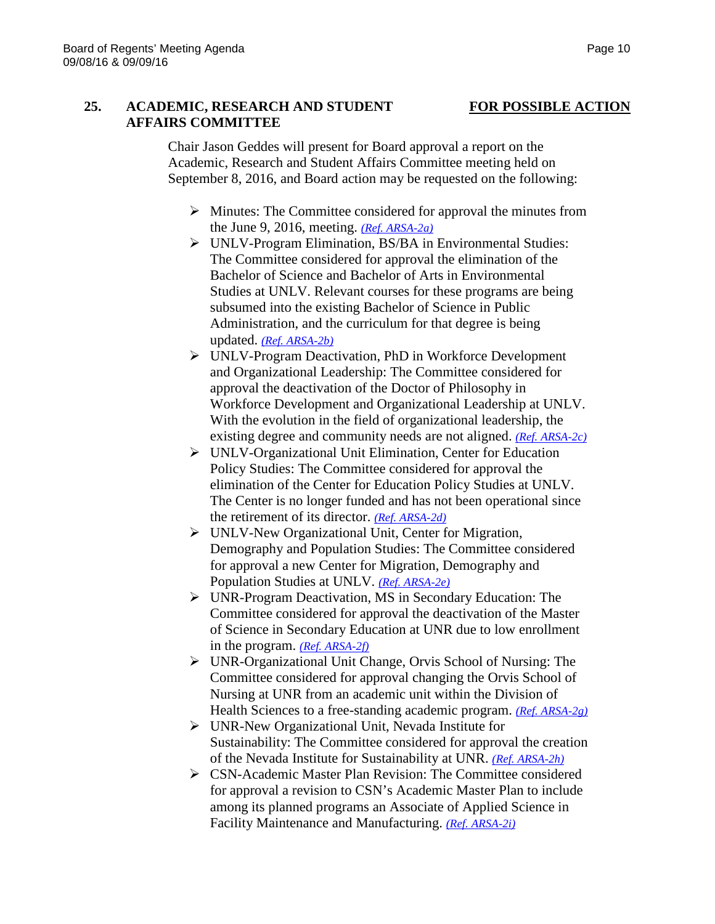## **25. ACADEMIC, RESEARCH AND STUDENT FOR POSSIBLE ACTION AFFAIRS COMMITTEE**

Chair Jason Geddes will present for Board approval a report on the Academic, Research and Student Affairs Committee meeting held on September 8, 2016, and Board action may be requested on the following:

- $\triangleright$  Minutes: The Committee considered for approval the minutes from the June 9, 2016, meeting. *[\(Ref. ARSA-2a\)](http://system.nevada.edu/tasks/sites/Nshe/assets/File/BoardOfRegents/Agendas/2016/sept-mtgs/arsa-refs/ARSA-2a.pdf)*
- UNLV-Program Elimination, BS/BA in Environmental Studies: The Committee considered for approval the elimination of the Bachelor of Science and Bachelor of Arts in Environmental Studies at UNLV. Relevant courses for these programs are being subsumed into the existing Bachelor of Science in Public Administration, and the curriculum for that degree is being updated. *[\(Ref. ARSA-2b\)](http://system.nevada.edu/tasks/sites/Nshe/assets/File/BoardOfRegents/Agendas/2016/sept-mtgs/arsa-refs/ARSA-2b.pdf)*
- UNLV-Program Deactivation, PhD in Workforce Development and Organizational Leadership: The Committee considered for approval the deactivation of the Doctor of Philosophy in Workforce Development and Organizational Leadership at UNLV. With the evolution in the field of organizational leadership, the existing degree and community needs are not aligned. *[\(Ref. ARSA-2c\)](http://system.nevada.edu/tasks/sites/Nshe/assets/File/BoardOfRegents/Agendas/2016/sept-mtgs/arsa-refs/ARSA-2c.pdf)*
- UNLV-Organizational Unit Elimination, Center for Education Policy Studies: The Committee considered for approval the elimination of the Center for Education Policy Studies at UNLV. The Center is no longer funded and has not been operational since the retirement of its director. *[\(Ref. ARSA-2d\)](http://system.nevada.edu/tasks/sites/Nshe/assets/File/BoardOfRegents/Agendas/2016/sept-mtgs/arsa-refs/ARSA-2d.pdf)*
- UNLV-New Organizational Unit, Center for Migration, Demography and Population Studies: The Committee considered for approval a new Center for Migration, Demography and Population Studies at UNLV. *[\(Ref. ARSA-2e\)](http://system.nevada.edu/tasks/sites/Nshe/assets/File/BoardOfRegents/Agendas/2016/sept-mtgs/arsa-refs/ARSA-2e.pdf)*
- UNR-Program Deactivation, MS in Secondary Education: The Committee considered for approval the deactivation of the Master of Science in Secondary Education at UNR due to low enrollment in the program. *[\(Ref. ARSA-2f\)](http://system.nevada.edu/tasks/sites/Nshe/assets/File/BoardOfRegents/Agendas/2016/sept-mtgs/arsa-refs/ARSA-2f.pdf)*
- UNR-Organizational Unit Change, Orvis School of Nursing: The Committee considered for approval changing the Orvis School of Nursing at UNR from an academic unit within the Division of Health Sciences to a free-standing academic program. *[\(Ref. ARSA-2g\)](http://system.nevada.edu/tasks/sites/Nshe/assets/File/BoardOfRegents/Agendas/2016/sept-mtgs/arsa-refs/ARSA-2g.pdf)*
- UNR-New Organizational Unit, Nevada Institute for Sustainability: The Committee considered for approval the creation of the Nevada Institute for Sustainability at UNR. *[\(Ref. ARSA-2h\)](http://system.nevada.edu/tasks/sites/Nshe/assets/File/BoardOfRegents/Agendas/2016/sept-mtgs/arsa-refs/ARSA-2h.pdf)*
- CSN-Academic Master Plan Revision: The Committee considered for approval a revision to CSN's Academic Master Plan to include among its planned programs an Associate of Applied Science in Facility Maintenance and Manufacturing. *[\(Ref. ARSA-2i\)](http://system.nevada.edu/tasks/sites/Nshe/assets/File/BoardOfRegents/Agendas/2016/sept-mtgs/arsa-refs/ARSA-2i.pdf)*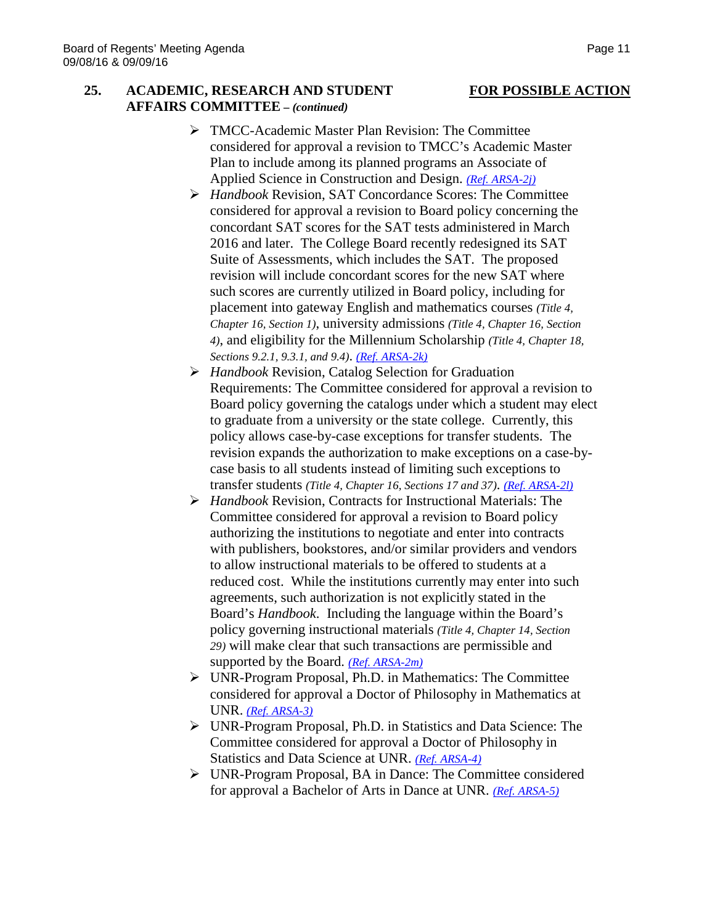## **25. ACADEMIC, RESEARCH AND STUDENT FOR POSSIBLE ACTION AFFAIRS COMMITTEE –** *(continued)*

- **TMCC-Academic Master Plan Revision: The Committee** considered for approval a revision to TMCC's Academic Master Plan to include among its planned programs an Associate of Applied Science in Construction and Design. *[\(Ref. ARSA-2j\)](http://system.nevada.edu/tasks/sites/Nshe/assets/File/BoardOfRegents/Agendas/2016/sept-mtgs/arsa-refs/ARSA-2j.pdf)*
- *Handbook* Revision, SAT Concordance Scores: The Committee considered for approval a revision to Board policy concerning the concordant SAT scores for the SAT tests administered in March 2016 and later. The College Board recently redesigned its SAT Suite of Assessments, which includes the SAT. The proposed revision will include concordant scores for the new SAT where such scores are currently utilized in Board policy, including for placement into gateway English and mathematics courses *(Title 4, Chapter 16, Section 1)*, university admissions *(Title 4, Chapter 16, Section 4)*, and eligibility for the Millennium Scholarship *(Title 4, Chapter 18, Sections 9.2.1, 9.3.1, and 9.4)*. *(Ref. [ARSA-2k\)](http://system.nevada.edu/tasks/sites/Nshe/assets/File/BoardOfRegents/Agendas/2016/sept-mtgs/arsa-refs/ARSA-2k.pdf)*
- *Handbook* Revision, Catalog Selection for Graduation Requirements: The Committee considered for approval a revision to Board policy governing the catalogs under which a student may elect to graduate from a university or the state college. Currently, this policy allows case-by-case exceptions for transfer students. The revision expands the authorization to make exceptions on a case-bycase basis to all students instead of limiting such exceptions to transfer students *(Title 4, Chapter 16, Sections 17 and 37)*. *(Ref. [ARSA-2l\)](http://system.nevada.edu/tasks/sites/Nshe/assets/File/BoardOfRegents/Agendas/2016/sept-mtgs/arsa-refs/ARSA-2l.pdf)*
- *Handbook* Revision, Contracts for Instructional Materials: The Committee considered for approval a revision to Board policy authorizing the institutions to negotiate and enter into contracts with publishers, bookstores, and/or similar providers and vendors to allow instructional materials to be offered to students at a reduced cost. While the institutions currently may enter into such agreements, such authorization is not explicitly stated in the Board's *Handbook*. Including the language within the Board's policy governing instructional materials *(Title 4, Chapter 14, Section 29)* will make clear that such transactions are permissible and supported by the Board. *(Ref. [ARSA-2m\)](http://system.nevada.edu/tasks/sites/Nshe/assets/File/BoardOfRegents/Agendas/2016/sept-mtgs/arsa-refs/ARSA-2m.pdf)*
- UNR-Program Proposal, Ph.D. in Mathematics: The Committee considered for approval a Doctor of Philosophy in Mathematics at UNR. *[\(Ref. ARSA-3\)](http://system.nevada.edu/tasks/sites/Nshe/assets/File/BoardOfRegents/Agendas/2016/sept-mtgs/arsa-refs/ARSA-3.pdf)*
- UNR-Program Proposal, Ph.D. in Statistics and Data Science: The Committee considered for approval a Doctor of Philosophy in Statistics and Data Science at UNR. *[\(Ref. ARSA-4\)](http://system.nevada.edu/tasks/sites/Nshe/assets/File/BoardOfRegents/Agendas/2016/sept-mtgs/arsa-refs/ARSA-4.pdf)*
- UNR-Program Proposal, BA in Dance: The Committee considered for approval a Bachelor of Arts in Dance at UNR. *[\(Ref. ARSA-5\)](http://system.nevada.edu/tasks/sites/Nshe/assets/File/BoardOfRegents/Agendas/2016/sept-mtgs/arsa-refs/ARSA-5.pdf)*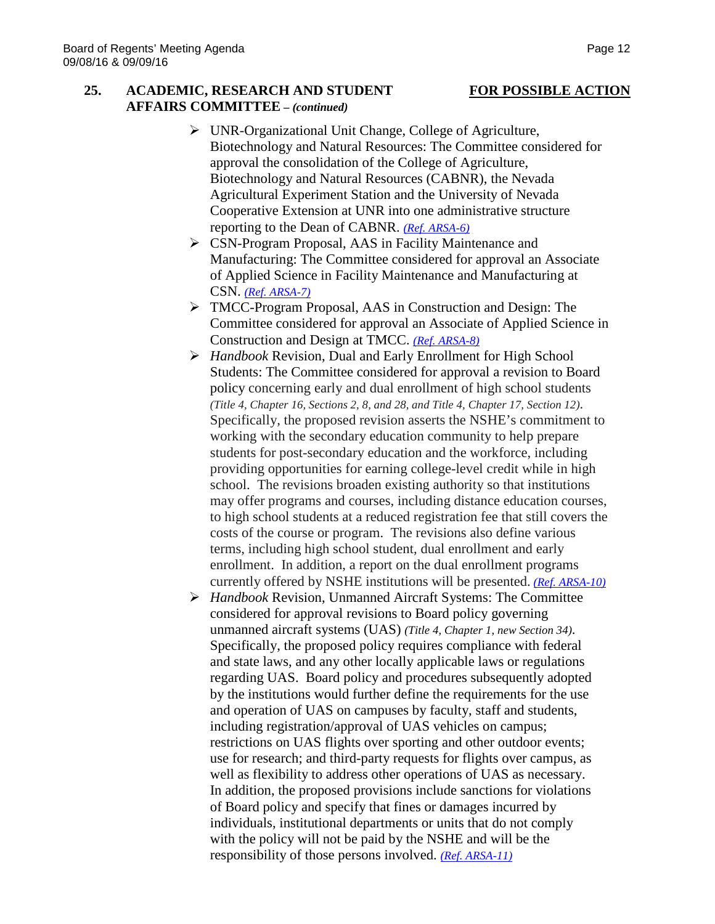### **25. ACADEMIC, RESEARCH AND STUDENT FOR POSSIBLE ACTION AFFAIRS COMMITTEE –** *(continued)*

- UNR-Organizational Unit Change, College of Agriculture, Biotechnology and Natural Resources: The Committee considered for approval the consolidation of the College of Agriculture, Biotechnology and Natural Resources (CABNR), the Nevada Agricultural Experiment Station and the University of Nevada Cooperative Extension at UNR into one administrative structure reporting to the Dean of CABNR. *[\(Ref. ARSA-6\)](http://system.nevada.edu/tasks/sites/Nshe/assets/File/BoardOfRegents/Agendas/2016/sept-mtgs/arsa-refs/ARSA-6.pdf)*
- CSN-Program Proposal, AAS in Facility Maintenance and Manufacturing: The Committee considered for approval an Associate of Applied Science in Facility Maintenance and Manufacturing at CSN. *[\(Ref. ARSA-7\)](http://system.nevada.edu/tasks/sites/Nshe/assets/File/BoardOfRegents/Agendas/2016/sept-mtgs/arsa-refs/ARSA-7.pdf)*
- TMCC-Program Proposal, AAS in Construction and Design: The Committee considered for approval an Associate of Applied Science in Construction and Design at TMCC. *[\(Ref. ARSA-8\)](http://system.nevada.edu/tasks/sites/Nshe/assets/File/BoardOfRegents/Agendas/2016/sept-mtgs/arsa-refs/ARSA-8.pdf)*
- *Handbook* Revision, Dual and Early Enrollment for High School Students: The Committee considered for approval a revision to Board policy concerning early and dual enrollment of high school students *(Title 4, Chapter 16, Sections 2, 8, and 28, and Title 4, Chapter 17, Section 12)*. Specifically, the proposed revision asserts the NSHE's commitment to working with the secondary education community to help prepare students for post-secondary education and the workforce, including providing opportunities for earning college-level credit while in high school. The revisions broaden existing authority so that institutions may offer programs and courses, including distance education courses, to high school students at a reduced registration fee that still covers the costs of the course or program. The revisions also define various terms, including high school student, dual enrollment and early enrollment. In addition, a report on the dual enrollment programs currently offered by NSHE institutions will be presented. *[\(Ref. ARSA-10\)](http://system.nevada.edu/tasks/sites/Nshe/assets/File/BoardOfRegents/Agendas/2016/sept-mtgs/arsa-refs/ARSA-10.pdf)*
- *Handbook* Revision, Unmanned Aircraft Systems: The Committee considered for approval revisions to Board policy governing unmanned aircraft systems (UAS) *(Title 4, Chapter 1, new Section 34)*. Specifically, the proposed policy requires compliance with federal and state laws, and any other locally applicable laws or regulations regarding UAS. Board policy and procedures subsequently adopted by the institutions would further define the requirements for the use and operation of UAS on campuses by faculty, staff and students, including registration/approval of UAS vehicles on campus; restrictions on UAS flights over sporting and other outdoor events; use for research; and third-party requests for flights over campus, as well as flexibility to address other operations of UAS as necessary. In addition, the proposed provisions include sanctions for violations of Board policy and specify that fines or damages incurred by individuals, institutional departments or units that do not comply with the policy will not be paid by the NSHE and will be the responsibility of those persons involved. *[\(Ref. ARSA-11\)](http://system.nevada.edu/tasks/sites/Nshe/assets/File/BoardOfRegents/Agendas/2016/sept-mtgs/arsa-refs/ARSA-11.pdf)*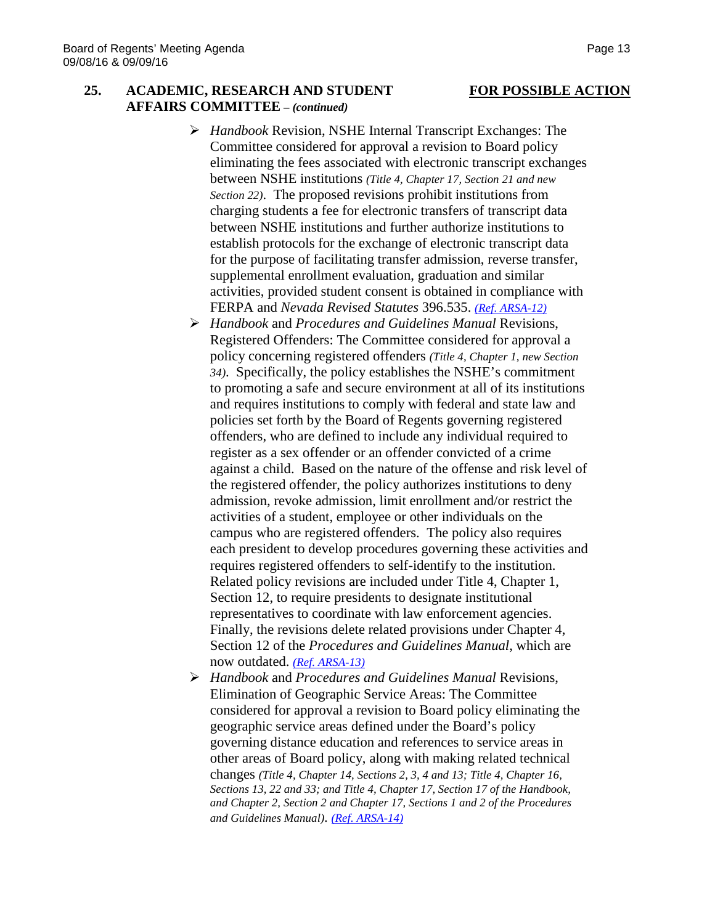## **25. ACADEMIC, RESEARCH AND STUDENT FOR POSSIBLE ACTION AFFAIRS COMMITTEE –** *(continued)*

- *Handbook* Revision, NSHE Internal Transcript Exchanges: The Committee considered for approval a revision to Board policy eliminating the fees associated with electronic transcript exchanges between NSHE institutions *(Title 4, Chapter 17, Section 21 and new Section 22)*. The proposed revisions prohibit institutions from charging students a fee for electronic transfers of transcript data between NSHE institutions and further authorize institutions to establish protocols for the exchange of electronic transcript data for the purpose of facilitating transfer admission, reverse transfer, supplemental enrollment evaluation, graduation and similar activities, provided student consent is obtained in compliance with FERPA and *Nevada Revised Statutes* 396.535. *[\(Ref. ARSA-12\)](http://system.nevada.edu/tasks/sites/Nshe/assets/File/BoardOfRegents/Agendas/2016/sept-mtgs/arsa-refs/ARSA-12.pdf)*
- *Handbook* and *Procedures and Guidelines Manual* Revisions, Registered Offenders: The Committee considered for approval a policy concerning registered offenders *(Title 4, Chapter 1, new Section 34)*. Specifically, the policy establishes the NSHE's commitment to promoting a safe and secure environment at all of its institutions and requires institutions to comply with federal and state law and policies set forth by the Board of Regents governing registered offenders, who are defined to include any individual required to register as a sex offender or an offender convicted of a crime against a child. Based on the nature of the offense and risk level of the registered offender, the policy authorizes institutions to deny admission, revoke admission, limit enrollment and/or restrict the activities of a student, employee or other individuals on the campus who are registered offenders. The policy also requires each president to develop procedures governing these activities and requires registered offenders to self-identify to the institution. Related policy revisions are included under Title 4, Chapter 1, Section 12, to require presidents to designate institutional representatives to coordinate with law enforcement agencies. Finally, the revisions delete related provisions under Chapter 4, Section 12 of the *Procedures and Guidelines Manual*, which are now outdated. *[\(Ref. ARSA-13\)](http://system.nevada.edu/tasks/sites/Nshe/assets/File/BoardOfRegents/Agendas/2016/sept-mtgs/arsa-refs/ARSA-13.pdf)*
- *Handbook* and *Procedures and Guidelines Manual* Revisions, Elimination of Geographic Service Areas: The Committee considered for approval a revision to Board policy eliminating the geographic service areas defined under the Board's policy governing distance education and references to service areas in other areas of Board policy, along with making related technical changes *(Title 4, Chapter 14, Sections 2, 3, 4 and 13; Title 4, Chapter 16, Sections 13, 22 and 33; and Title 4, Chapter 17, Section 17 of the Handbook, and Chapter 2, Section 2 and Chapter 17, Sections 1 and 2 of the Procedures and Guidelines Manual)*. *[\(Ref. ARSA-14\)](http://system.nevada.edu/tasks/sites/Nshe/assets/File/BoardOfRegents/Agendas/2016/sept-mtgs/arsa-refs/ARSA-14.pdf)*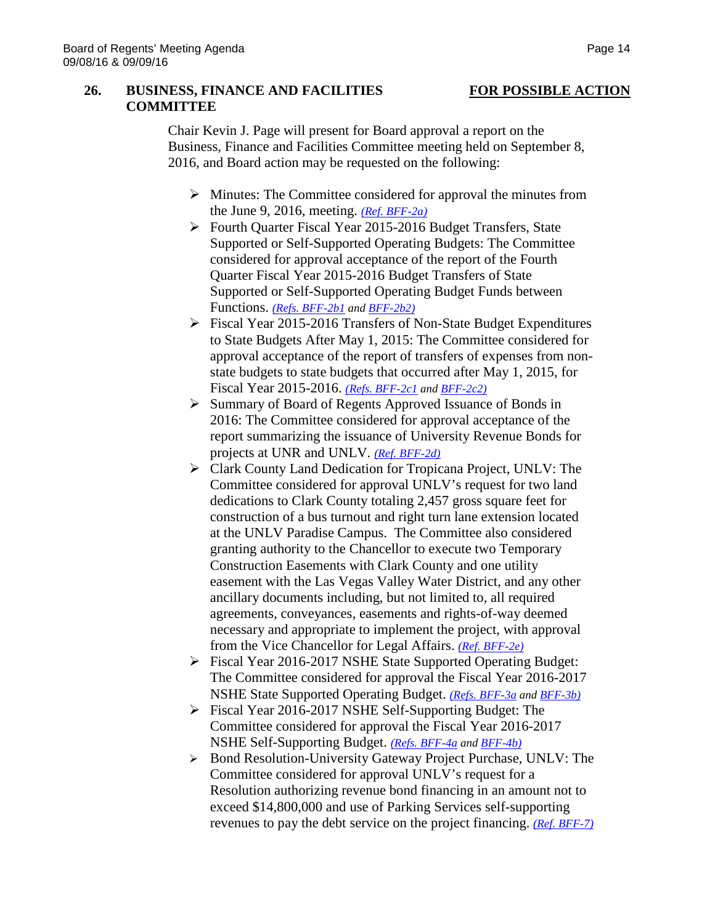### **26. BUSINESS, FINANCE AND FACILITIES FOR POSSIBLE ACTION COMMITTEE**

Chair Kevin J. Page will present for Board approval a report on the Business, Finance and Facilities Committee meeting held on September 8, 2016, and Board action may be requested on the following:

- $\triangleright$  Minutes: The Committee considered for approval the minutes from the June 9, 2016, meeting. *[\(Ref. BFF-2a\)](http://system.nevada.edu/tasks/sites/Nshe/assets/File/BoardOfRegents/Agendas/2016/sept-mtgs/bff-refs/BFF-2a.pdf)*
- Fourth Quarter Fiscal Year 2015-2016 Budget Transfers, State Supported or Self-Supported Operating Budgets: The Committee considered for approval acceptance of the report of the Fourth Quarter Fiscal Year 2015-2016 Budget Transfers of State Supported or Self-Supported Operating Budget Funds between Functions. *[\(Refs. BFF-2b1](http://system.nevada.edu/tasks/sites/Nshe/assets/File/BoardOfRegents/Agendas/2016/sept-mtgs/bff-refs/BFF-2b(1).pdf) an[d BFF-2b2\)](http://system.nevada.edu/tasks/sites/Nshe/assets/File/BoardOfRegents/Agendas/2016/sept-mtgs/bff-refs/BFF-2b(2).pdf)*
- Fiscal Year 2015-2016 Transfers of Non-State Budget Expenditures to State Budgets After May 1, 2015: The Committee considered for approval acceptance of the report of transfers of expenses from nonstate budgets to state budgets that occurred after May 1, 2015, for Fiscal Year 2015-2016. *[\(Refs. BFF-2c1](http://system.nevada.edu/tasks/sites/Nshe/assets/File/BoardOfRegents/Agendas/2016/sept-mtgs/bff-refs/BFF-2c(1).pdf) an[d BFF-2c2\)](http://system.nevada.edu/tasks/sites/Nshe/assets/File/BoardOfRegents/Agendas/2016/sept-mtgs/bff-refs/BFF-2c(2).pdf)*
- Summary of Board of Regents Approved Issuance of Bonds in 2016: The Committee considered for approval acceptance of the report summarizing the issuance of University Revenue Bonds for projects at UNR and UNLV. *[\(Ref. BFF-2d\)](http://system.nevada.edu/tasks/sites/Nshe/assets/File/BoardOfRegents/Agendas/2016/sept-mtgs/bff-refs/BFF-2d.pdf)*
- Clark County Land Dedication for Tropicana Project, UNLV: The Committee considered for approval UNLV's request for two land dedications to Clark County totaling 2,457 gross square feet for construction of a bus turnout and right turn lane extension located at the UNLV Paradise Campus. The Committee also considered granting authority to the Chancellor to execute two Temporary Construction Easements with Clark County and one utility easement with the Las Vegas Valley Water District, and any other ancillary documents including, but not limited to, all required agreements, conveyances, easements and rights-of-way deemed necessary and appropriate to implement the project, with approval from the Vice Chancellor for Legal Affairs. *[\(Ref. BFF-2e\)](http://system.nevada.edu/tasks/sites/Nshe/assets/File/BoardOfRegents/Agendas/2016/sept-mtgs/bff-refs/BFF-2e.pdf)*
- Fiscal Year 2016-2017 NSHE State Supported Operating Budget: The Committee considered for approval the Fiscal Year 2016-2017 NSHE State Supported Operating Budget. *[\(Refs. BFF-3a](http://system.nevada.edu/tasks/sites/Nshe/assets/File/BoardOfRegents/Agendas/2016/sept-mtgs/bff-refs/BFF-3a.pdf) an[d BFF-3b\)](http://system.nevada.edu/tasks/sites/Nshe/assets/File/BoardOfRegents/Agendas/2016/sept-mtgs/bff-refs/BFF-3b.pdf)*
- Fiscal Year 2016-2017 NSHE Self-Supporting Budget: The Committee considered for approval the Fiscal Year 2016-2017 NSHE Self-Supporting Budget. *[\(Refs. BFF-4a](http://system.nevada.edu/tasks/sites/Nshe/assets/File/BoardOfRegents/Agendas/2016/sept-mtgs/bff-refs/BFF-4a.pdf) and [BFF-4b\)](http://system.nevada.edu/tasks/sites/Nshe/assets/File/BoardOfRegents/Agendas/2016/sept-mtgs/bff-refs/BFF-4b.pdf)*
- ▶ Bond Resolution-University Gateway Project Purchase, UNLV: The Committee considered for approval UNLV's request for a Resolution authorizing revenue bond financing in an amount not to exceed \$14,800,000 and use of Parking Services self-supporting revenues to pay the debt service on the project financing. *[\(Ref. BFF-7\)](http://system.nevada.edu/tasks/sites/Nshe/assets/File/BoardOfRegents/Agendas/2016/sept-mtgs/bff-refs/BFF-7.pdf)*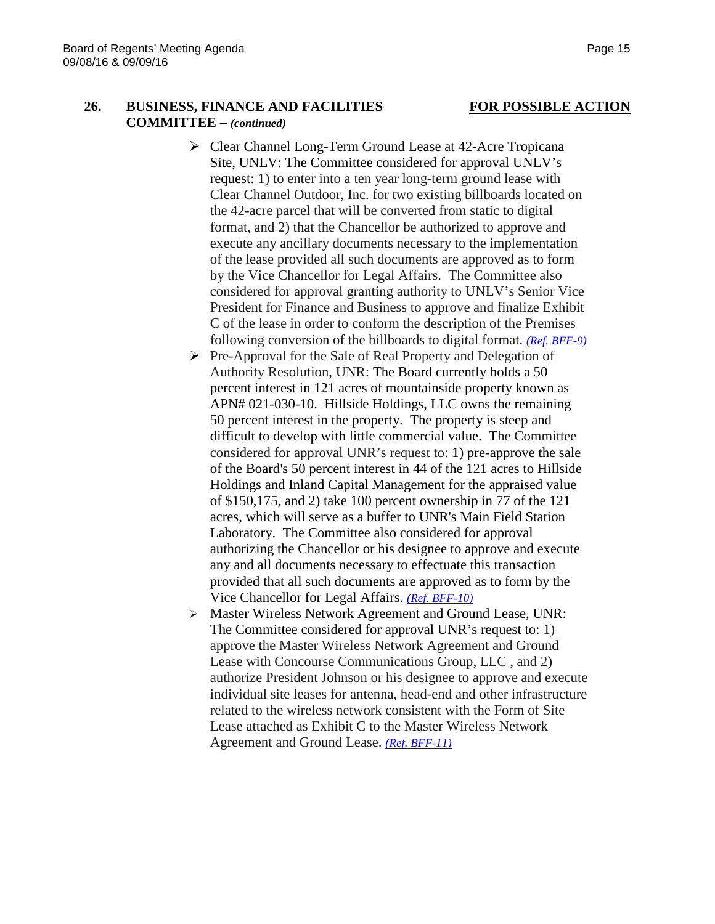## **26. BUSINESS, FINANCE AND FACILITIES FOR POSSIBLE ACTION COMMITTEE –** *(continued)*

- Clear Channel Long-Term Ground Lease at 42-Acre Tropicana Site, UNLV: The Committee considered for approval UNLV's request: 1) to enter into a ten year long-term ground lease with Clear Channel Outdoor, Inc. for two existing billboards located on the 42-acre parcel that will be converted from static to digital format, and 2) that the Chancellor be authorized to approve and execute any ancillary documents necessary to the implementation of the lease provided all such documents are approved as to form by the Vice Chancellor for Legal Affairs. The Committee also considered for approval granting authority to UNLV's Senior Vice President for Finance and Business to approve and finalize Exhibit C of the lease in order to conform the description of the Premises following conversion of the billboards to digital format. *[\(Ref. BFF-9\)](http://system.nevada.edu/tasks/sites/Nshe/assets/File/BoardOfRegents/Agendas/2016/sept-mtgs/bff-refs/BFF-9.pdf)*
- $\triangleright$  Pre-Approval for the Sale of Real Property and Delegation of Authority Resolution, UNR: The Board currently holds a 50 percent interest in 121 acres of mountainside property known as APN# 021-030-10. Hillside Holdings, LLC owns the remaining 50 percent interest in the property. The property is steep and difficult to develop with little commercial value. The Committee considered for approval UNR's request to: 1) pre-approve the sale of the Board's 50 percent interest in 44 of the 121 acres to Hillside Holdings and Inland Capital Management for the appraised value of \$150,175, and 2) take 100 percent ownership in 77 of the 121 acres, which will serve as a buffer to UNR's Main Field Station Laboratory. The Committee also considered for approval authorizing the Chancellor or his designee to approve and execute any and all documents necessary to effectuate this transaction provided that all such documents are approved as to form by the Vice Chancellor for Legal Affairs. *[\(Ref. BFF-10\)](http://system.nevada.edu/tasks/sites/Nshe/assets/File/BoardOfRegents/Agendas/2016/sept-mtgs/bff-refs/BFF-10.pdf)*
- Master Wireless Network Agreement and Ground Lease, UNR: The Committee considered for approval UNR's request to: 1) approve the Master Wireless Network Agreement and Ground Lease with Concourse Communications Group, LLC , and 2) authorize President Johnson or his designee to approve and execute individual site leases for antenna, head-end and other infrastructure related to the wireless network consistent with the Form of Site Lease attached as Exhibit C to the Master Wireless Network Agreement and Ground Lease. *[\(Ref. BFF-11\)](http://system.nevada.edu/tasks/sites/Nshe/assets/File/BoardOfRegents/Agendas/2016/sept-mtgs/bff-refs/BFF-11.pdf)*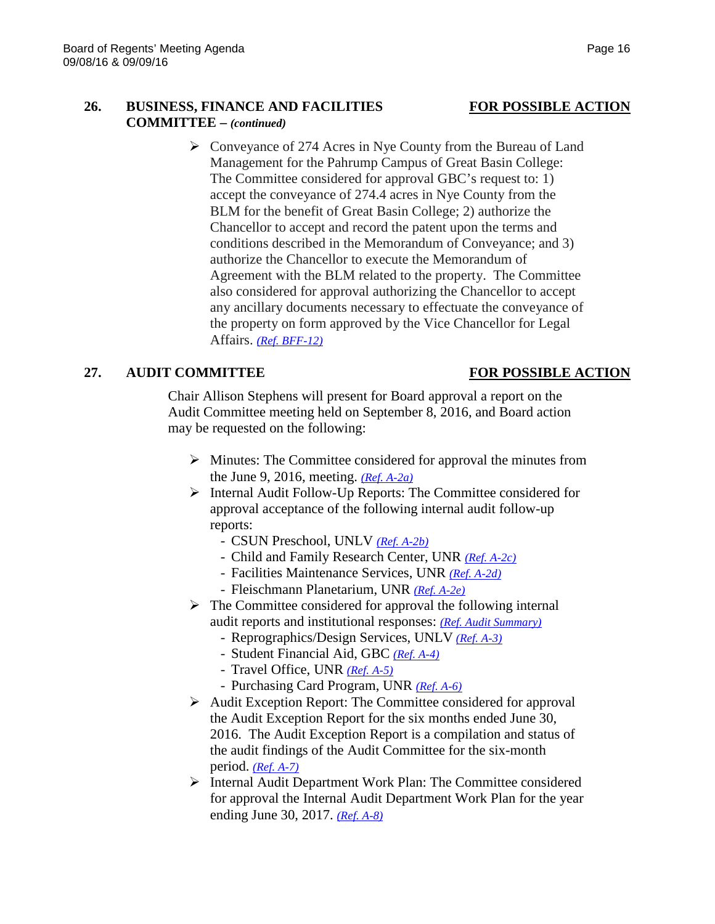## **26. BUSINESS, FINANCE AND FACILITIES FOR POSSIBLE ACTION COMMITTEE –** *(continued)*

 $\triangleright$  Conveyance of 274 Acres in Nye County from the Bureau of Land Management for the Pahrump Campus of Great Basin College: The Committee considered for approval GBC's request to: 1) accept the conveyance of 274.4 acres in Nye County from the BLM for the benefit of Great Basin College; 2) authorize the Chancellor to accept and record the patent upon the terms and conditions described in the Memorandum of Conveyance; and 3) authorize the Chancellor to execute the Memorandum of Agreement with the BLM related to the property. The Committee also considered for approval authorizing the Chancellor to accept any ancillary documents necessary to effectuate the conveyance of the property on form approved by the Vice Chancellor for Legal Affairs. *[\(Ref. BFF-12\)](http://system.nevada.edu/tasks/sites/Nshe/assets/File/BoardOfRegents/Agendas/2016/sept-mtgs/bff-refs/BFF-12.pdf)*

## **27. AUDIT COMMITTEE FOR POSSIBLE ACTION**

Chair Allison Stephens will present for Board approval a report on the Audit Committee meeting held on September 8, 2016, and Board action may be requested on the following:

- $\triangleright$  Minutes: The Committee considered for approval the minutes from the June 9, 2016, meeting. *[\(Ref. A-2a\)](http://system.nevada.edu/tasks/sites/Nshe/assets/File/BoardOfRegents/Agendas/2016/sept-mtgs/audit-refs/A-2a.pdf)*
- $\triangleright$  Internal Audit Follow-Up Reports: The Committee considered for approval acceptance of the following internal audit follow-up reports:
	- CSUN Preschool, UNLV *[\(Ref. A-2b\)](http://system.nevada.edu/tasks/sites/Nshe/assets/File/BoardOfRegents/Agendas/2016/sept-mtgs/audit-refs/A-2b.pdf)*
	- Child and Family Research Center, UNR *[\(Ref. A-2c\)](http://system.nevada.edu/tasks/sites/Nshe/assets/File/BoardOfRegents/Agendas/2016/sept-mtgs/audit-refs/A-2c.pdf)*
	- Facilities Maintenance Services, UNR *[\(Ref. A-2d\)](http://system.nevada.edu/tasks/sites/Nshe/assets/File/BoardOfRegents/Agendas/2016/sept-mtgs/audit-refs/A-2d.pdf)*
	- Fleischmann Planetarium, UNR *[\(Ref. A-2e\)](http://system.nevada.edu/tasks/sites/Nshe/assets/File/BoardOfRegents/Agendas/2016/sept-mtgs/audit-refs/A-2e.pdf)*
- $\triangleright$  The Committee considered for approval the following internal audit reports and institutional responses: *[\(Ref. Audit Summary\)](http://system.nevada.edu/tasks/sites/Nshe/assets/File/BoardOfRegents/Agendas/2016/sept-mtgs/audit-refs/Audit%20Summary.pdf)*
	- Reprographics/Design Services, UNLV *[\(Ref. A-3\)](http://system.nevada.edu/tasks/sites/Nshe/assets/File/BoardOfRegents/Agendas/2016/sept-mtgs/audit-refs/A-3.pdf)*
	- Student Financial Aid, GBC *[\(Ref. A-4\)](http://system.nevada.edu/tasks/sites/Nshe/assets/File/BoardOfRegents/Agendas/2016/sept-mtgs/audit-refs/A-4.pdf)*
	- Travel Office, UNR *[\(Ref. A-5\)](http://system.nevada.edu/tasks/sites/Nshe/assets/File/BoardOfRegents/Agendas/2016/sept-mtgs/audit-refs/A-5.pdf)*
	- Purchasing Card Program, UNR *[\(Ref. A-6\)](http://system.nevada.edu/tasks/sites/Nshe/assets/File/BoardOfRegents/Agendas/2016/sept-mtgs/audit-refs/A-6.pdf)*
- $\triangleright$  Audit Exception Report: The Committee considered for approval the Audit Exception Report for the six months ended June 30, 2016. The Audit Exception Report is a compilation and status of the audit findings of the Audit Committee for the six-month period. *[\(Ref. A-7\)](http://system.nevada.edu/tasks/sites/Nshe/assets/File/BoardOfRegents/Agendas/2016/sept-mtgs/audit-refs/A-7.pdf)*
- $\triangleright$  Internal Audit Department Work Plan: The Committee considered for approval the Internal Audit Department Work Plan for the year ending June 30, 2017. *[\(Ref. A-8\)](http://system.nevada.edu/tasks/sites/Nshe/assets/File/BoardOfRegents/Agendas/2016/sept-mtgs/audit-refs/A-8.pdf)*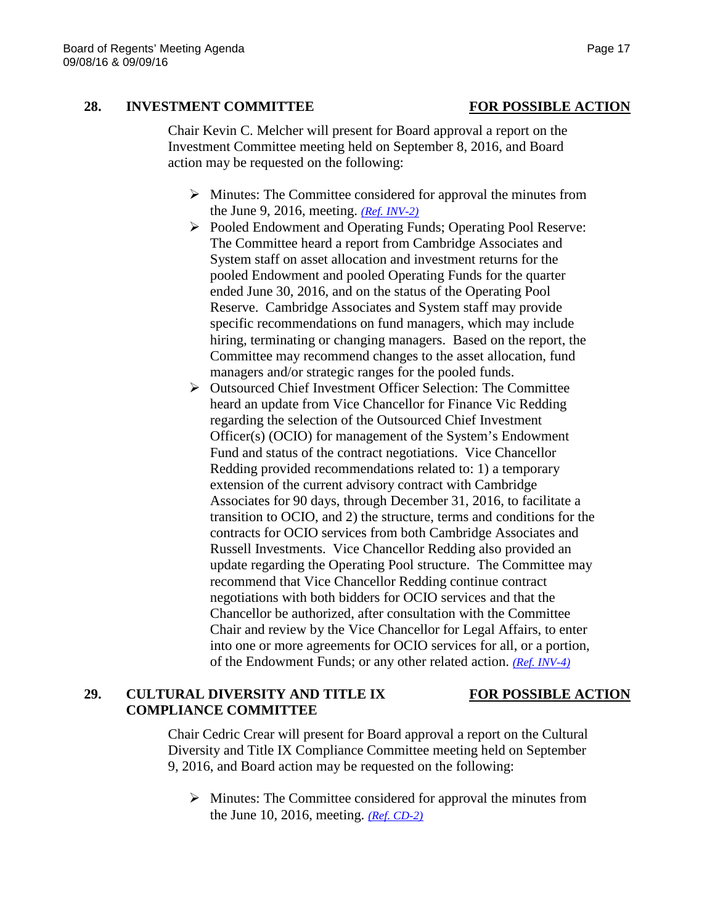## **28. INVESTMENT COMMITTEE FOR POSSIBLE ACTION**

Chair Kevin C. Melcher will present for Board approval a report on the Investment Committee meeting held on September 8, 2016, and Board action may be requested on the following:

- $\triangleright$  Minutes: The Committee considered for approval the minutes from the June 9, 2016, meeting. *[\(Ref. INV-2\)](http://system.nevada.edu/tasks/sites/Nshe/assets/File/BoardOfRegents/Agendas/2016/sept-mtgs/inv-refs/INV-2.pdf)*
- Pooled Endowment and Operating Funds; Operating Pool Reserve: The Committee heard a report from Cambridge Associates and System staff on asset allocation and investment returns for the pooled Endowment and pooled Operating Funds for the quarter ended June 30, 2016, and on the status of the Operating Pool Reserve. Cambridge Associates and System staff may provide specific recommendations on fund managers, which may include hiring, terminating or changing managers. Based on the report, the Committee may recommend changes to the asset allocation, fund managers and/or strategic ranges for the pooled funds.
- ▶ Outsourced Chief Investment Officer Selection: The Committee heard an update from Vice Chancellor for Finance Vic Redding regarding the selection of the Outsourced Chief Investment Officer(s) (OCIO) for management of the System's Endowment Fund and status of the contract negotiations. Vice Chancellor Redding provided recommendations related to: 1) a temporary extension of the current advisory contract with Cambridge Associates for 90 days, through December 31, 2016, to facilitate a transition to OCIO, and 2) the structure, terms and conditions for the contracts for OCIO services from both Cambridge Associates and Russell Investments. Vice Chancellor Redding also provided an update regarding the Operating Pool structure. The Committee may recommend that Vice Chancellor Redding continue contract negotiations with both bidders for OCIO services and that the Chancellor be authorized, after consultation with the Committee Chair and review by the Vice Chancellor for Legal Affairs, to enter into one or more agreements for OCIO services for all, or a portion, of the Endowment Funds; or any other related action. *[\(Ref. INV-4\)](http://system.nevada.edu/tasks/sites/Nshe/assets/File/BoardOfRegents/Agendas/2016/sept-mtgs/inv-refs/INV-4.pdf)*

## 29. **CULTURAL DIVERSITY AND TITLE IX** FOR POSSIBLE ACTION **COMPLIANCE COMMITTEE**

Chair Cedric Crear will present for Board approval a report on the Cultural Diversity and Title IX Compliance Committee meeting held on September 9, 2016, and Board action may be requested on the following:

 $\triangleright$  Minutes: The Committee considered for approval the minutes from the June 10, 2016, meeting. *[\(Ref. CD-2\)](http://system.nevada.edu/tasks/sites/Nshe/assets/File/BoardOfRegents/Agendas/2016/sept-mtgs/cdix-refs/CD-2.pdf)*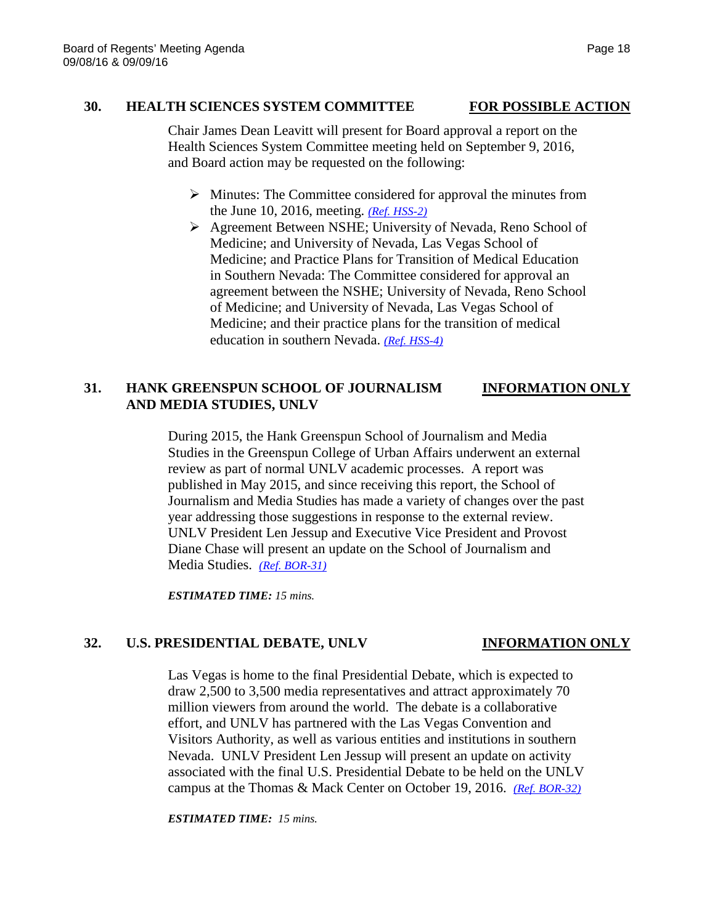## **30. HEALTH SCIENCES SYSTEM COMMITTEE FOR POSSIBLE ACTION**

Chair James Dean Leavitt will present for Board approval a report on the Health Sciences System Committee meeting held on September 9, 2016, and Board action may be requested on the following:

- $\triangleright$  Minutes: The Committee considered for approval the minutes from the June 10, 2016, meeting. *[\(Ref. HSS-2\)](http://system.nevada.edu/tasks/sites/Nshe/assets/File/BoardOfRegents/Agendas/2016/sept-mtgs/hss-refs/HSS-2.pdf)*
- Agreement Between NSHE; University of Nevada, Reno School of Medicine; and University of Nevada, Las Vegas School of Medicine; and Practice Plans for Transition of Medical Education in Southern Nevada: The Committee considered for approval an agreement between the NSHE; University of Nevada, Reno School of Medicine; and University of Nevada, Las Vegas School of Medicine; and their practice plans for the transition of medical education in southern Nevada. *[\(Ref. HSS-4\)](http://system.nevada.edu/tasks/sites/Nshe/assets/File/BoardOfRegents/Agendas/2016/sept-mtgs/hss-refs/HSS-4.pdf)*

## **31. HANK GREENSPUN SCHOOL OF JOURNALISM INFORMATION ONLY AND MEDIA STUDIES, UNLV**

During 2015, the Hank Greenspun School of Journalism and Media Studies in the Greenspun College of Urban Affairs underwent an external review as part of normal UNLV academic processes. A report was published in May 2015, and since receiving this report, the School of Journalism and Media Studies has made a variety of changes over the past year addressing those suggestions in response to the external review. UNLV President Len Jessup and Executive Vice President and Provost Diane Chase will present an update on the School of Journalism and Media Studies. *[\(Ref. BOR-31\)](http://system.nevada.edu/tasks/sites/Nshe/assets/File/BoardOfRegents/Agendas/2016/sept-mtgs/bor-refs/BOR-31.pdf)*

*ESTIMATED TIME: 15 mins.*

## **32. U.S. PRESIDENTIAL DEBATE, UNLV INFORMATION ONLY**

Las Vegas is home to the final Presidential Debate, which is expected to draw 2,500 to 3,500 media representatives and attract approximately 70 million viewers from around the world. The debate is a collaborative effort, and UNLV has partnered with the Las Vegas Convention and Visitors Authority, as well as various entities and institutions in southern Nevada. UNLV President Len Jessup will present an update on activity associated with the final U.S. Presidential Debate to be held on the UNLV campus at the Thomas & Mack Center on October 19, 2016. *[\(Ref. BOR-32\)](http://system.nevada.edu/tasks/sites/Nshe/assets/File/BoardOfRegents/Agendas/2016/sept-mtgs/bor-refs/BOR-32.pdf)*

*ESTIMATED TIME: 15 mins.*